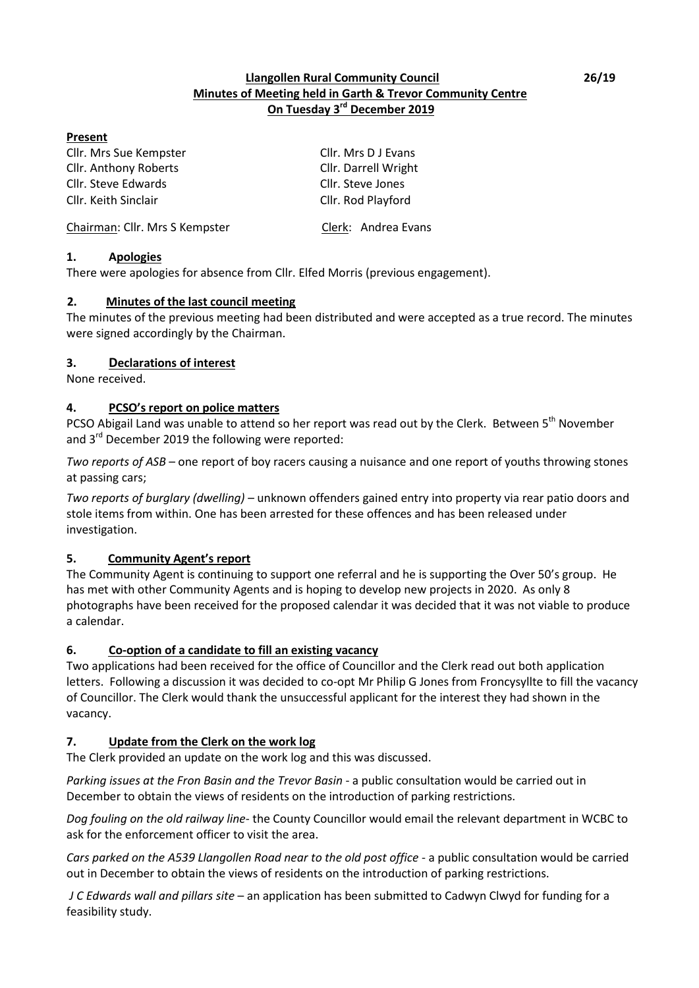## **Llangollen Rural Community Council 26/19 Minutes of Meeting held in Garth & Trevor Community Centre On Tuesday 3rd December 2019**

## **Present**

Cllr. Mrs Sue Kempster Cllr. Mrs D J Evans Cllr. Anthony Roberts Cllr. Darrell Wright Cllr. Steve Edwards Cllr. Steve Jones Cllr. Keith Sinclair Cllr. Rod Playford

Chairman: Cllr. Mrs S Kempster Clerk: Andrea Evans

## **1. Apologies**

There were apologies for absence from Cllr. Elfed Morris (previous engagement).

## **2. Minutes of the last council meeting**

The minutes of the previous meeting had been distributed and were accepted as a true record. The minutes were signed accordingly by the Chairman.

## **3. Declarations of interest**

None received.

## **4. PCSO͛Ɛ ƌeƉŽƌƚ on police matters**

PCSO Abigail Land was unable to attend so her report was read out by the Clerk. Between 5<sup>th</sup> November and 3<sup>rd</sup> December 2019 the following were reported:

*Two reports of ASB* – one report of boy racers causing a nuisance and one report of youths throwing stones at passing cars;

*Two reports of burglary (dwelling) –* unknown offenders gained entry into property via rear patio doors and stole items from within. One has been arrested for these offences and has been released under investigation.

## **5. Community Agent's report**

The Community Agent is continuing to support one referral and he is supporting the Over 50's group. He has met with other Community Agents and is hoping to develop new projects in 2020. As only 8 photographs have been received for the proposed calendar it was decided that it was not viable to produce a calendar.

## **6. Co-option of a candidate to fill an existing vacancy**

Two applications had been received for the office of Councillor and the Clerk read out both application letters. Following a discussion it was decided to co-opt Mr Philip G Jones from Froncysyllte to fill the vacancy of Councillor. The Clerk would thank the unsuccessful applicant for the interest they had shown in the vacancy.

## **7. Update from the Clerk on the work log**

The Clerk provided an update on the work log and this was discussed.

*Parking issues at the Fron Basin and the Trevor Basin* - a public consultation would be carried out in December to obtain the views of residents on the introduction of parking restrictions.

*Dog fouling on the old railway line*- the County Councillor would email the relevant department in WCBC to ask for the enforcement officer to visit the area.

*Cars parked on the A539 Llangollen Road near to the old post office* - a public consultation would be carried out in December to obtain the views of residents on the introduction of parking restrictions.

*J C Edwards wall and pillars site* – an application has been submitted to Cadwyn Clwyd for funding for a feasibility study.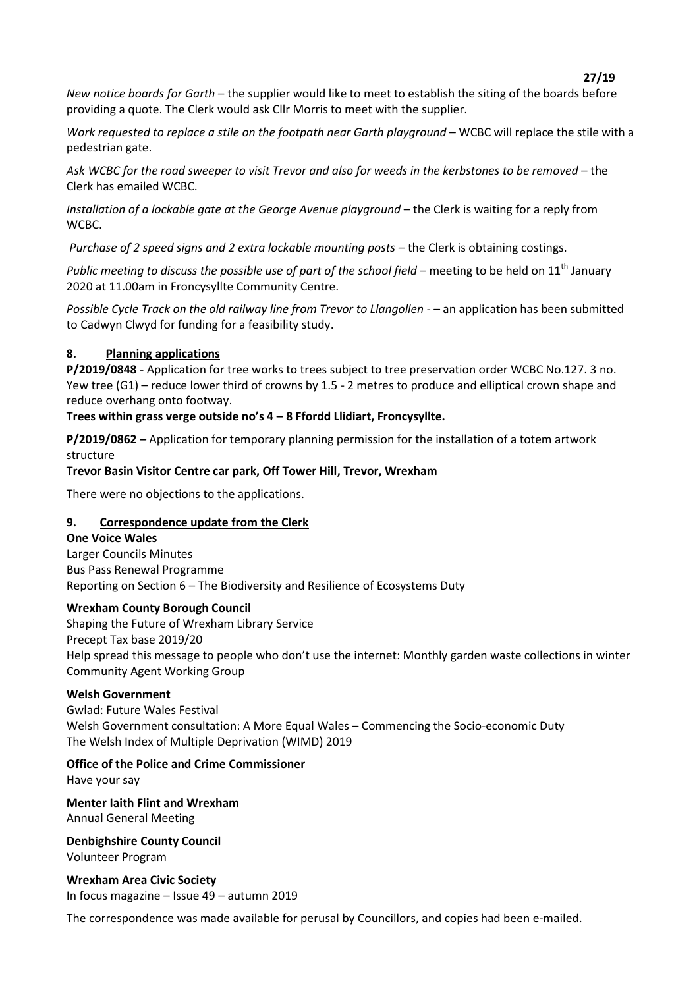**27/19**

*New notice boards for Garth* – the supplier would like to meet to establish the siting of the boards before providing a quote. The Clerk would ask Cllr Morris to meet with the supplier.

*Work requested to replace a stile on the footpath near Garth playground* – WCBC will replace the stile with a pedestrian gate.

Ask WCBC for the road sweeper to visit Trevor and also for weeds in the kerbstones to be removed – the Clerk has emailed WCBC.

*Installation of a lockable gate at the George Avenue playground* – the Clerk is waiting for a reply from WCBC.

*Purchase of 2 speed signs and 2 extra lockable mounting posts - the Clerk is obtaining costings.* 

*Public meeting to discuss the possible use of part of the school field* – meeting to be held on 11<sup>th</sup> January 2020 at 11.00am in Froncysyllte Community Centre.

*Possible Cycle Track on the old railway line from Trevor to Llangollen* - - an application has been submitted to Cadwyn Clwyd for funding for a feasibility study.

## **8. Planning applications**

**P/2019/0848** - Application for tree works to trees subject to tree preservation order WCBC No.127. 3 no. Yew tree  $(G1)$  – reduce lower third of crowns by 1.5 - 2 metres to produce and elliptical crown shape and reduce overhang onto footway.

## Trees within grass verge outside no's 4 - 8 Ffordd Llidiart, Froncysyllte.

**P/2019/0862** – Application for temporary planning permission for the installation of a totem artwork structure

### **Trevor Basin Visitor Centre car park, Off Tower Hill, Trevor, Wrexham**

There were no objections to the applications.

### **9. Correspondence update from the Clerk**

**One Voice Wales** Larger Councils Minutes Bus Pass Renewal Programme Reporting on Section 6 – The Biodiversity and Resilience of Ecosystems Duty

### **Wrexham County Borough Council**

Shaping the Future of Wrexham Library Service Precept Tax base 2019/20 Help spread this message to people who don't use the internet: Monthly garden waste collections in winter Community Agent Working Group

### **Welsh Government**

Gwlad: Future Wales Festival Welsh Government consultation: A More Equal Wales – Commencing the Socio-economic Duty The Welsh Index of Multiple Deprivation (WIMD) 2019

## **Office of the Police and Crime Commissioner**

Have your say

**Menter Iaith Flint and Wrexham** Annual General Meeting

**Denbighshire County Council** Volunteer Program

**Wrexham Area Civic Society**  In focus magazine  $-$  Issue 49  $-$  autumn 2019

The correspondence was made available for perusal by Councillors, and copies had been e-mailed.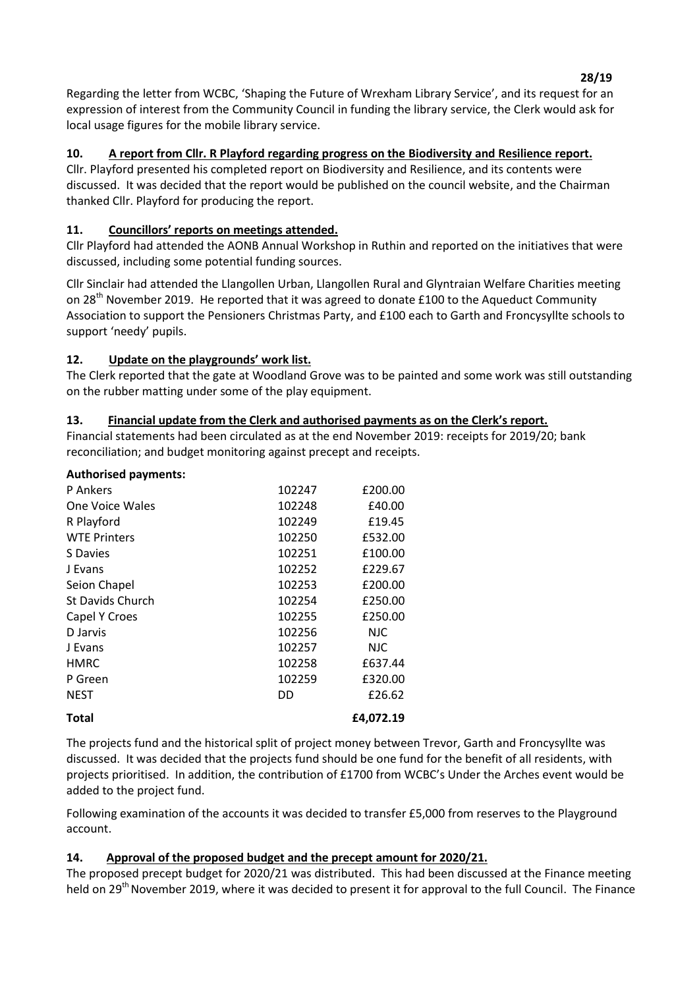**28/19** Regarding the letter from WCBC, 'Shaping the Future of Wrexham Library Service', and its request for an expression of interest from the Community Council in funding the library service, the Clerk would ask for local usage figures for the mobile library service.

# **10. A report from Cllr. R Playford regarding progress on the Biodiversity and Resilience report.**

Cllr. Playford presented his completed report on Biodiversity and Resilience, and its contents were discussed. It was decided that the report would be published on the council website, and the Chairman thanked Cllr. Playford for producing the report.

# 11. **Councillors' reports on meetings attended.**

Cllr Playford had attended the AONB Annual Workshop in Ruthin and reported on the initiatives that were discussed, including some potential funding sources.

Cllr Sinclair had attended the Llangollen Urban, Llangollen Rural and Glyntraian Welfare Charities meeting on  $28<sup>th</sup>$  November 2019. He reported that it was agreed to donate £100 to the Aqueduct Community Association to support the Pensioners Christmas Party, and £100 each to Garth and Froncysyllte schools to support 'needy' pupils.

# 12. **Update on the playgrounds' work list.**

The Clerk reported that the gate at Woodland Grove was to be painted and some work was still outstanding on the rubber matting under some of the play equipment.

# **13. Financial update from the Clerk and authorised payments as on the Clerk͛s report.**

Financial statements had been circulated as at the end November 2019: receipts for 2019/20; bank reconciliation; and budget monitoring against precept and receipts.

| <b>Authorised payments:</b> |        |            |
|-----------------------------|--------|------------|
| P Ankers                    | 102247 | £200.00    |
| One Voice Wales             | 102248 | £40.00     |
| R Playford                  | 102249 | £19.45     |
| <b>WTE Printers</b>         | 102250 | £532.00    |
| S Davies                    | 102251 | £100.00    |
| J Evans                     | 102252 | £229.67    |
| Seion Chapel                | 102253 | £200.00    |
| <b>St Davids Church</b>     | 102254 | £250.00    |
| Capel Y Croes               | 102255 | £250.00    |
| D Jarvis                    | 102256 | <b>NJC</b> |
| J Evans                     | 102257 | NJC.       |
| <b>HMRC</b>                 | 102258 | £637.44    |
| P Green                     | 102259 | £320.00    |
| <b>NEST</b>                 | DD.    | £26.62     |
| <b>Total</b>                |        | £4,072.19  |

The projects fund and the historical split of project money between Trevor, Garth and Froncysyllte was discussed. It was decided that the projects fund should be one fund for the benefit of all residents, with projects prioritised. In addition, the contribution of £1700 from WCBC's Under the Arches event would be added to the project fund.

Following examination of the accounts it was decided to transfer £5,000 from reserves to the Playground account.

# **14. Approval of the proposed budget and the precept amount for 2020/21.**

The proposed precept budget for 2020/21 was distributed. This had been discussed at the Finance meeting held on 29<sup>th</sup> November 2019, where it was decided to present it for approval to the full Council. The Finance